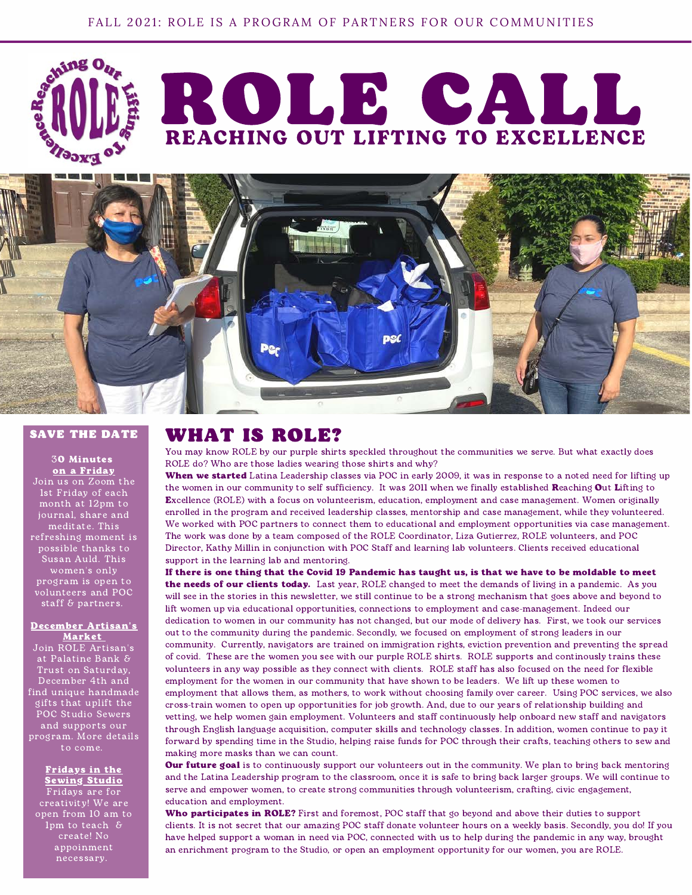



## SAVE THE DATE

30 Minutes on a Friday

Join us on Zoom the 1st Friday of each month at 12pm to journal, share and meditate. This refreshing moment is possible thanks to Susan Auld. This women's only program is open to volunteers and POC staff & partners.

#### December Artisan's Market

Join ROLE Artisan's at Palatine Bank & Trust on Saturday, December 4th and find unique handmade gifts that uplift the POC Studio Sewers and supports our program. More details to come.

### Fridays in the **Sewing Studio**

Fridays are for creativity! We are open from 10 am to 1pm to teach & create! No appoinment necessary.

## WHAT IS ROLE?

You may know ROLE by our purple shirts speckled throughout the communities we serve. But what exactly does ROLE do? Who are those ladies wearing those shirts and why?

When we started Latina Leadership classes via POC in early 2009, it was in response to a noted need for lifting up the women in our community to self sufficiency. It was 2011 when we finally established Reaching Out Lifting to Excellence (ROLE) with a focus on volunteerism, education, employment and case management. Women originally enrolled in the program and received leadership classes, mentorship and case management, while they volunteered. We worked with POC partners to connect them to educational and employment opportunities via case management. The work was done by a team composed of the ROLE Coordinator, Liza Gutierrez, ROLE volunteers, and POC Director, Kathy Millin in conjunction with POC Staff and learning lab volunteers. Clients received educational support in the learning lab and mentoring.

If there is one thing that the Covid 19 Pandemic has taught us, is that we have to be moldable to meet the needs of our clients today. Last year, ROLE changed to meet the demands of living in a pandemic. As you will see in the stories in this newsletter, we still continue to be a strong mechanism that goes above and beyond to lift women up via educational opportunities, connections to employment and case-management. Indeed our dedication to women in our community has not changed, but our mode of delivery has. First, we took our services out to the community during the pandemic. Secondly, we focused on employment of strong leaders in our community. Currently, navigators are trained on immigration rights, eviction prevention and preventing the spread of covid. These are the women you see with our purple ROLE shirts. ROLE supports and continously trains these volunteers in any way possible as they connect with clients. ROLE staff has also focused on the need for flexible employment for the women in our community that have shown to be leaders. We lift up these women to employment that allows them, as mothers, to work without choosing family over career. Using POC services, we also cross-train women to open up opportunities for job growth. And, due to our years of relationship building and vetting, we help women gain employment. Volunteers and staff continuously help onboard new staff and navigators through English language acquisition, computer skills and technology classes. In addition, women continue to pay it forward by spending time in the Studio, helping raise funds for POC through their crafts, teaching others to sew and making more masks than we can count.

Our future goal is to continuously support our volunteers out in the community. We plan to bring back mentoring and the Latina Leadership program to the classroom, once it is safe to bring back larger groups. We will continue to serve and empower women, to create strong communities through volunteerism, crafting, civic engagement, education and employment.

Who participates in ROLE? First and foremost, POC staff that go beyond and above their duties to support clients. It is not secret that our amazing POC staff donate volunteer hours on a weekly basis. Secondly, you do! If you have helped support a woman in need via POC, connected with us to help during the pandemic in any way, brought an enrichment program to the Studio, or open an employment opportunity for our women, you are ROLE.